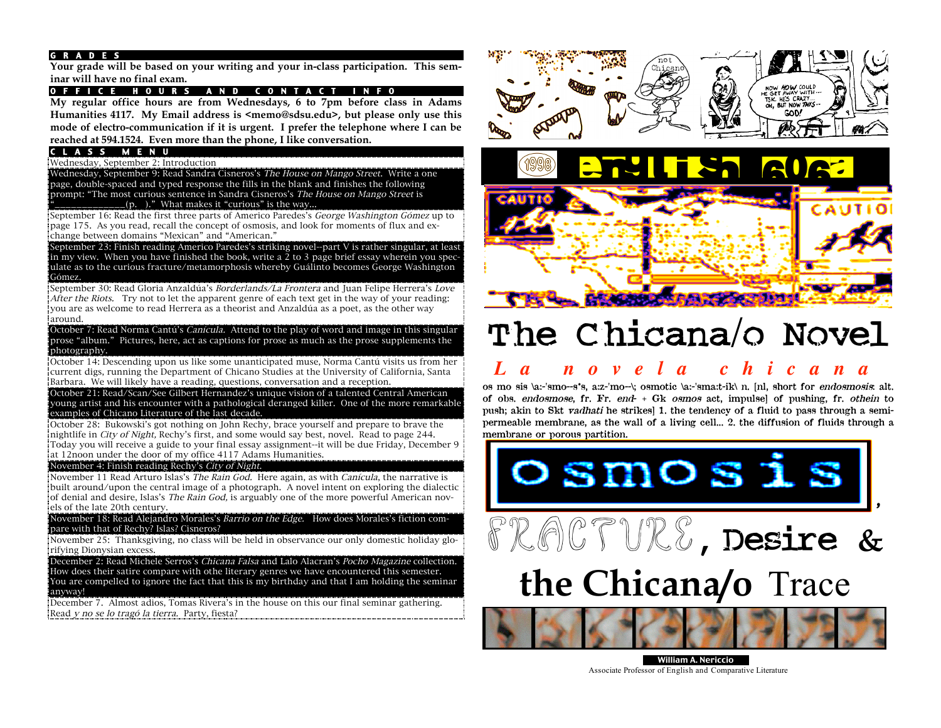### G R A D E S

**Your grade will be based on your writing and your in-class participation. This seminar will have no final exam.**

## O F F I C E HOURS AND CONTACT INFO

**My regular office hours are from Wednesdays, 6 to 7pm before class in Adams Humanities 4117. My Email address is <memo@sdsu.edu>, but please only use this mode of electro-communication if it is urgent. I prefer the telephone where I can be reached at 594.1524. Even more than the phone, I like conversation.**

#### C L A S S M E N U

Wednesday, September 2: Introduction

Wednesday, September 9: Read Sandra Cisneros's The House on Mango Street. Write a one page, double-spaced and typed response the fills in the blank and finishes the following prompt: "The most curious sentence in Sandra Cisneros's The House on Mango Street is  $_-(p. )$ ." What makes it "curious" is the way...

September 16: Read the first three parts of Americo Paredes's George Washington Gómez up to page 175. As you read, recall the concept of osmosis, and look for moments of flux and exchange between domains "Mexican" and "American."

September 23: Finish reading Americo Paredes's striking novel--part V is rather singular, at least in my view. When you have finished the book, write a  $\overline{2}$  to 3 page brief essay wherein you speculate as to the curious fracture/metamorphosis whereby Guálinto becomes George Washington Gómez.

September 30: Read Gloria Anzaldúa's *Borderlands/La Frontera* and Juan Felipe Herrera's *Love* After the Riots. Try not to let the apparent genre of each text get in the way of your reading: you are as welcome to read Herrera as a theorist and Anzaldúa as a poet, as the other way around.

October 7: Read Norma Cantú's *Canícula.* Attend to the play of word and image in this singular prose "album." Pictures, here, act as captions for prose as much as the prose supplements the photography.

October 14: Descending upon us like some unanticipated muse, Norma Cantú visits us from her current digs, running the Department of Chicano Studies at the University of California, Santa Barbara. We will likely have a reading, questions, conversation and a reception.

October 21: Read/Scan/See Gilbert Hernandez's unique vision of a talented Central American young artist and his encounter with a pathological deranged killer. One of the more remarkable examples of Chicano Literature of the last decade.

October 28: Bukowski's got nothing on John Rechy, brace yourself and prepare to brave the nightlife in *City of Night*, Rechy's first, and some would say best, novel. Read to page 244. Today you will receive a guide to your final essay assignment--it will be due Friday, December 9 at 12noon under the door of my office 4117 Adams Humanities.

#### November 4: Finish reading Rechy's City of Night.

November 11 Read Arturo Islas's The Rain God. Here again, as with Canícula, the narrative is built around/upon the central image of a photograph. A novel intent on exploring the dialectic of denial and desire, Islas's *The Rain God*, is arguably one of the more powerful American novels of the late 20th century.

November 18: Read Alejandro Morales's Barrio on the Edge. How does Morales's fiction compare with that of Rechy? Islas? Cisneros?

November 25: Thanksgiving, no class will be held in observance our only domestic holiday glorifying Dionysian excess.

December 2: Read Michele Serros's Chicana Falsa and Lalo Alacran's Pocho Magazine collection. How does their satire compare with othe literary genres we have encountered this semester. You are compelled to ignore the fact that this is my birthday and that I am holding the seminar anyway!

December 7. Almost adios, Tomas Rivera's in the house on this our final seminar gathering. Read y no se lo tragó la tierra. Party, fiesta?





# The Chicana/o Novel

# *L a n o v e l a c h i c a n a*

os mo sis \a:-'smo--s\*s, a:z-'mo--\; osmotic \a:-'sma:t-ik\ n. [nl, short for endosmosis: alt. of obs. endosmose, fr. Fr. end- + Gk osmos act, impulse] of pushing, fr. othein to push; akin to Skt vadhati he strikes] 1. the tendency of a fluid to pass through a semipermeable membrane, as the wall of a living cell... 2. the diffusion of fluids through a membrane or porous partition.



William A. Nericcio Associate Professor of English and Comparative Literature